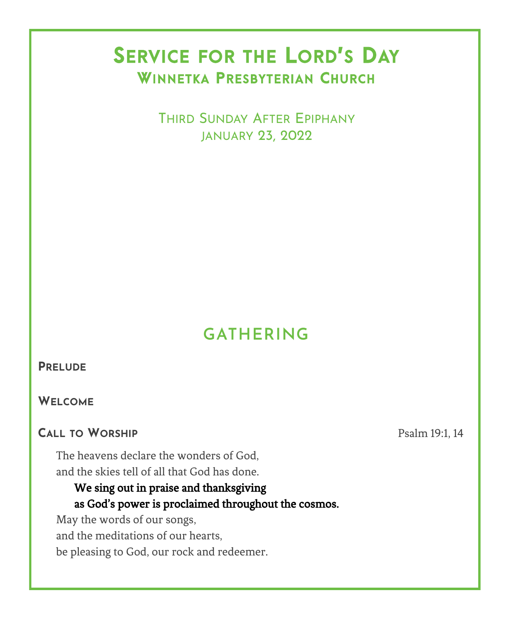# SERVICE FOR THE LORD'S DAY WINNETKA PRESBYTERIAN CHURCH

 THIRD SUNDAY AFTER EPIPHANY JANUARY 23, 2022

# **GATHERING**

#### **PRELUDE**

**WELCOME**

### **CALL TO WORSHIP** Psalm 19:1, 14

The heavens declare the wonders of God, and the skies tell of all that God has done.

### We sing out in praise and thanksgiving as God's power is proclaimed throughout the cosmos.

May the words of our songs, and the meditations of our hearts, be pleasing to God, our rock and redeemer.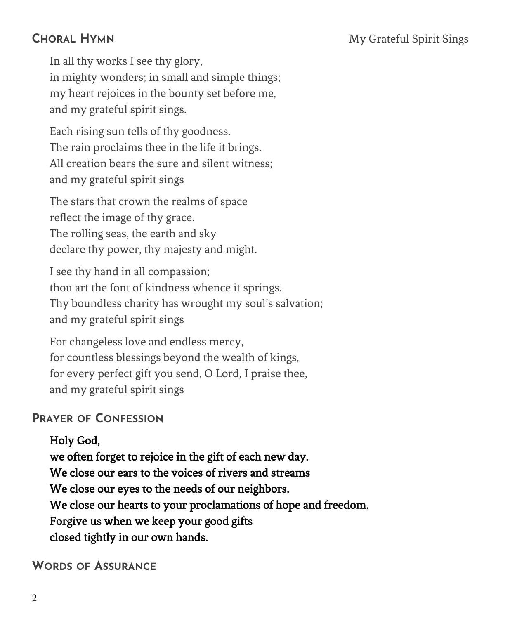## **CHORAL HYMN** My Grateful Spirit Sings

In all thy works I see thy glory, in mighty wonders; in small and simple things; my heart rejoices in the bounty set before me, and my grateful spirit sings.

Each rising sun tells of thy goodness. The rain proclaims thee in the life it brings. All creation bears the sure and silent witness; and my grateful spirit sings

The stars that crown the realms of space reflect the image of thy grace. The rolling seas, the earth and sky declare thy power, thy majesty and might.

I see thy hand in all compassion; thou art the font of kindness whence it springs. Thy boundless charity has wrought my soul's salvation; and my grateful spirit sings

For changeless love and endless mercy, for countless blessings beyond the wealth of kings, for every perfect gift you send, O Lord, I praise thee, and my grateful spirit sings

## **PRAYER OF CONFESSION**

Holy God,

we often forget to rejoice in the gift of each new day. We close our ears to the voices of rivers and streams We close our eyes to the needs of our neighbors. We close our hearts to your proclamations of hope and freedom. Forgive us when we keep your good gifts closed tightly in our own hands.

**WORDS OF ASSURANCE**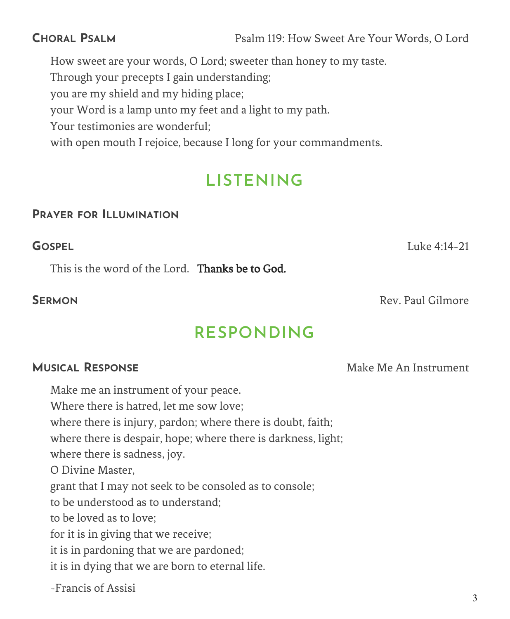**CHORAL PSALM** Psalm 119: How Sweet Are Your Words, O Lord

How sweet are your words, O Lord; sweeter than honey to my taste.

Through your precepts I gain understanding;

you are my shield and my hiding place;

your Word is a lamp unto my feet and a light to my path.

Your testimonies are wonderful;

with open mouth I rejoice, because I long for your commandments.

# **LISTENING**

#### **PRAYER FOR ILLUMINATION**

**GOSPEL** Luke 4:14-21

This is the word of the Lord. Thanks be to God.

**SFRMON** Rev. Paul Gilmore

# **RESPONDING**

### **MUSICAL RESPONSE** Make Make Me An Instrument

Make me an instrument of your peace. Where there is hatred, let me sow love; where there is injury, pardon; where there is doubt, faith; where there is despair, hope; where there is darkness, light; where there is sadness, joy. O Divine Master, grant that I may not seek to be consoled as to console; to be understood as to understand; to be loved as to love; for it is in giving that we receive; it is in pardoning that we are pardoned; it is in dying that we are born to eternal life. -Francis of Assisi